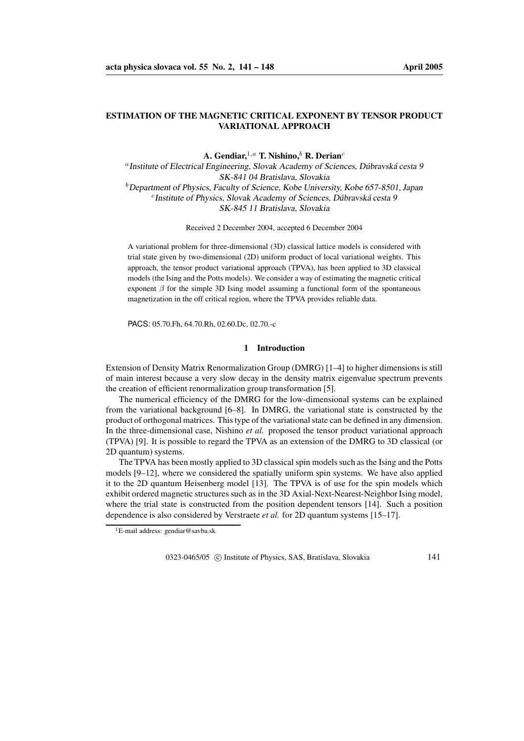# **ESTIMATION OF THE MAGNETIC CRITICAL EXPONENT BY TENSOR PRODUCT VARIATIONAL APPROACH**

**A. Gendiar,** <sup>1</sup>,a **T. Nishino,**<sup>b</sup> **R. Derian**<sup>c</sup>

<sup>a</sup> Institute of Electrical Engineering, Slovak Academy of Sciences, Dúbravská cesta 9 SK-841 04 Bratislava, Slovakia  $<sup>b</sup>$  Department of Physics, Faculty of Science, Kobe University, Kobe 657-8501, Japan</sup> <sup>c</sup>Institute of Physics, Slovak Academy of Sciences, Dúbravská cesta 9 SK-845 11 Bratislava, Slovakia

Received 2 December 2004, accepted 6 December 2004

A variational problem for three-dimensional (3D) classical lattice models is considered with trial state given by two-dimensional (2D) uniform product of local variational weights. This approach, the tensor product variational approach (TPVA), has been applied to 3D classical models (the Ising and the Potts models). We consider a way of estimating the magnetic critical exponent  $\beta$  for the simple 3D Ising model assuming a functional form of the spontaneous magnetization in the off critical region, where the TPVA provides reliable data.

PACS: 05.70.Fh, 64.70.Rh, 02.60.Dc, 02.70.-c

### **1 Introduction**

Extension of Density Matrix Renormalization Group (DMRG) [1–4] to higher dimensions is still of main interest because a very slow decay in the density matrix eigenvalue spectrum prevents the creation of efficient renormalization group transformation [5].

The numerical efficiency of the DMRG for the low-dimensional systems can be explained from the variational background [6–8]. In DMRG, the variational state is constructed by the product of orthogonal matrices. Thistype of the variationalstate can be defined in any dimension. In the three-dimensional case, Nishino *et al.* proposed the tensor product variational approach (TPVA) [9]. It is possible to regard the TPVA as an extension of the DMRG to 3D classical (or 2D quantum) systems.

The TPVA has been mostly applied to 3D classical spin models such as the Ising and the Potts models [9–12], where we considered the spatially uniform spin systems. We have also applied it to the 2D quantum Heisenberg model [13]. The TPVA is of use for the spin models which exhibit ordered magnetic structures such as in the 3D Axial-Next-Nearest-NeighborIsing model, where the trial state is constructed from the position dependent tensors [14]. Such a position dependence is also considered by Verstraete *et al.* for 2D quantum systems [15–17].

0323-0465/05 © Institute of Physics, SAS, Bratislava, Slovakia 141

<sup>1</sup>E-mail address: gendiar@savba.sk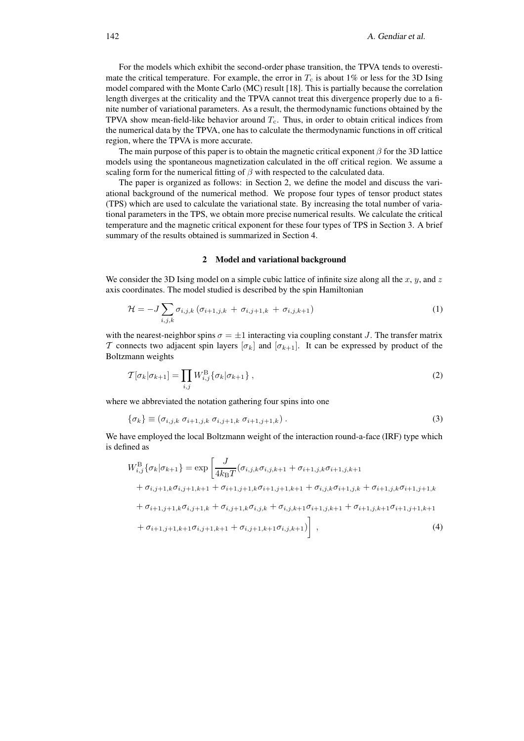For the models which exhibit the second-order phase transition, the TPVA tends to overestimate the critical temperature. For example, the error in  $T_c$  is about 1% or less for the 3D Ising model compared with the Monte Carlo (MC) result [18]. This is partially because the correlation length diverges at the criticality and the TPVA cannot treat this divergence properly due to a finite number of variational parameters. As a result, the thermodynamic functions obtained by the TPVA show mean-field-like behavior around  $T_c$ . Thus, in order to obtain critical indices from the numerical data by the TPVA, one has to calculate the thermodynamic functions in off critical region, where the TPVA is more accurate.

The main purpose of this paper is to obtain the magnetic critical exponent  $\beta$  for the 3D lattice models using the spontaneous magnetization calculated in the off critical region. We assume a scaling form for the numerical fitting of  $\beta$  with respected to the calculated data.

The paper is organized as follows: in Section 2, we define the model and discuss the variational background of the numerical method. We propose four types of tensor product states (TPS) which are used to calculate the variational state. By increasing the total number of variational parameters in the TPS, we obtain more precise numerical results. We calculate the critical temperature and the magnetic critical exponent for these four types of TPS in Section 3. A brief summary of the results obtained is summarized in Section 4.

#### **2 Model and variational background**

We consider the 3D Ising model on a simple cubic lattice of infinite size along all the  $x, y$ , and z axis coordinates. The model studied is described by the spin Hamiltonian

$$
\mathcal{H} = -J \sum_{i,j,k} \sigma_{i,j,k} \left( \sigma_{i+1,j,k} + \sigma_{i,j+1,k} + \sigma_{i,j,k+1} \right) \tag{1}
$$

with the nearest-neighbor spins  $\sigma = \pm 1$  interacting via coupling constant J. The transfer matrix T connects two adjacent spin layers  $[\sigma_k]$  and  $[\sigma_{k+1}]$ . It can be expressed by product of the Boltzmann weights

$$
\mathcal{T}[\sigma_k|\sigma_{k+1}] = \prod_{i,j} W_{i,j}^{\mathrm{B}} \{\sigma_k|\sigma_{k+1}\},\tag{2}
$$

where we abbreviated the notation gathering four spins into one

$$
\{\sigma_k\} \equiv (\sigma_{i,j,k} \; \sigma_{i+1,j,k} \; \sigma_{i,j+1,k} \; \sigma_{i+1,j+1,k}) \; . \tag{3}
$$

We have employed the local Boltzmann weight of the interaction round-a-face (IRF) type which is defined as

$$
W_{i,j}^{\text{B}}\{\sigma_{k}|\sigma_{k+1}\} = \exp\left[\frac{J}{4k_{\text{B}}T}(\sigma_{i,j,k}\sigma_{i,j,k+1} + \sigma_{i+1,j,k}\sigma_{i+1,j,k+1} + \sigma_{i,j+1,k}\sigma_{i+1,j,k+1})\right] + \sigma_{i,j+1,k}\sigma_{i,j+1,k+1} + \sigma_{i+1,j+1,k}\sigma_{i+1,j+1,k+1} + \sigma_{i,j,k}\sigma_{i+1,j,k} + \sigma_{i+1,j+1,k}\sigma_{i,j+1,k} + \sigma_{i,j+1,k}\sigma_{i,j,k} + \sigma_{i,j,k+1}\sigma_{i+1,j,k+1}\sigma_{i+1,j,k+1}\sigma_{i+1,j+1,k+1}
$$
\n
$$
+ \sigma_{i+1,j+1,k+1}\sigma_{i,j+1,k+1} + \sigma_{i,j+1,k+1}\sigma_{i,j,k+1}\sigma_{i,j,k+1})\right], \tag{4}
$$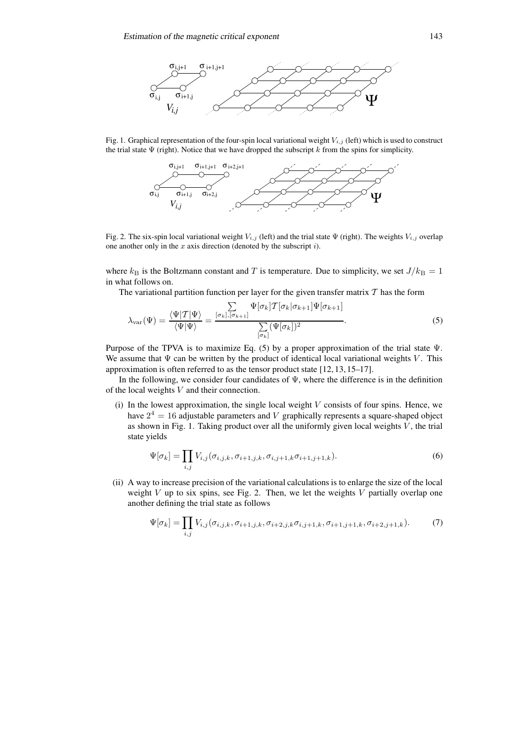

Fig. 1. Graphical representation of the four-spin local variational weight  $V_{i,j}$  (left) which is used to construct the trial state  $\Psi$  (right). Notice that we have dropped the subscript k from the spins for simplicity.



Fig. 2. The six-spin local variational weight  $V_{i,j}$  (left) and the trial state  $\Psi$  (right). The weights  $V_{i,j}$  overlap one another only in the  $x$  axis direction (denoted by the subscript  $i$ ).

where  $k_B$  is the Boltzmann constant and T is temperature. Due to simplicity, we set  $J/k_B = 1$ in what follows on.

The variational partition function per layer for the given transfer matrix  $T$  has the form

$$
\lambda_{\text{var}}(\Psi) = \frac{\langle \Psi | T | \Psi \rangle}{\langle \Psi | \Psi \rangle} = \frac{\sum_{\sigma_k, [\sigma_{k+1}]} \Psi[\sigma_k] T[\sigma_k | \sigma_{k+1}] \Psi[\sigma_{k+1}]}{\sum_{\sigma_k} (\Psi[\sigma_k])^2}.
$$
\n(5)

Purpose of the TPVA is to maximize Eq. (5) by a proper approximation of the trial state Ψ. We assume that  $\Psi$  can be written by the product of identical local variational weights V. This approximation is often referred to as the tensor product state [12, 13, 15–17].

In the following, we consider four candidates of  $\Psi$ , where the difference is in the definition of the local weights V and their connection.

(i) In the lowest approximation, the single local weight  $V$  consists of four spins. Hence, we have  $2^4 = 16$  adjustable parameters and V graphically represents a square-shaped object as shown in Fig. 1. Taking product over all the uniformly given local weights  $V$ , the trial state yields

$$
\Psi[\sigma_k] = \prod_{i,j} V_{i,j}(\sigma_{i,j,k}, \sigma_{i+1,j,k}, \sigma_{i,j+1,k}\sigma_{i+1,j+1,k}).
$$
\n(6)

(ii) A way to increase precision of the variational calculations is to enlarge the size of the local weight  $V$  up to six spins, see Fig. 2. Then, we let the weights  $V$  partially overlap one another defining the trial state as follows

$$
\Psi[\sigma_k] = \prod_{i,j} V_{i,j}(\sigma_{i,j,k}, \sigma_{i+1,j,k}, \sigma_{i+2,j,k}\sigma_{i,j+1,k}, \sigma_{i+1,j+1,k}, \sigma_{i+2,j+1,k}). \tag{7}
$$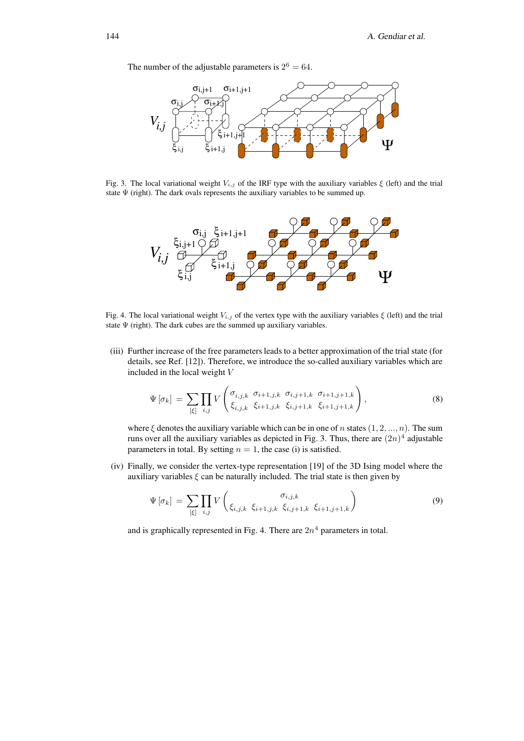The number of the adjustable parameters is  $2^6 = 64$ .



Fig. 3. The local variational weight  $V_{i,j}$  of the IRF type with the auxiliary variables  $\xi$  (left) and the trial state  $\Psi$  (right). The dark ovals represents the auxiliary variables to be summed up.



Fig. 4. The local variational weight  $V_{i,j}$  of the vertex type with the auxiliary variables  $\xi$  (left) and the trial state  $\Psi$  (right). The dark cubes are the summed up auxiliary variables.

(iii) Further increase of the free parameters leads to a better approximation of the trial state (for details, see Ref. [12]). Therefore, we introduce the so-called auxiliary variables which are included in the local weight V

$$
\Psi\left[\sigma_{k}\right] = \sum_{\left[\xi\right]} \prod_{i,j} V\left(\begin{matrix} \sigma_{i,j,k} & \sigma_{i+1,j,k} & \sigma_{i,j+1,k} & \sigma_{i+1,j+1,k} \\ \xi_{i,j,k} & \xi_{i+1,j,k} & \xi_{i,j+1,k} & \xi_{i+1,j+1,k} \end{matrix}\right),\tag{8}
$$

where  $\xi$  denotes the auxiliary variable which can be in one of n states  $(1, 2, ..., n)$ . The sum runs over all the auxiliary variables as depicted in Fig. 3. Thus, there are  $(2n)^4$  adjustable parameters in total. By setting  $n = 1$ , the case (i) is satisfied.

(iv) Finally, we consider the vertex-type representation [19] of the 3D Ising model where the auxiliary variables  $\xi$  can be naturally included. The trial state is then given by

$$
\Psi\left[\sigma_{k}\right] = \sum_{\left[\xi\right]} \prod_{i,j} V\left(\begin{array}{c} \sigma_{i,j,k} \\ \xi_{i,j,k} \xi_{i+1,j,k} \xi_{i,j+1,k} \xi_{i+1,j+1,k} \end{array}\right) \tag{9}
$$

and is graphically represented in Fig. 4. There are  $2n^4$  parameters in total.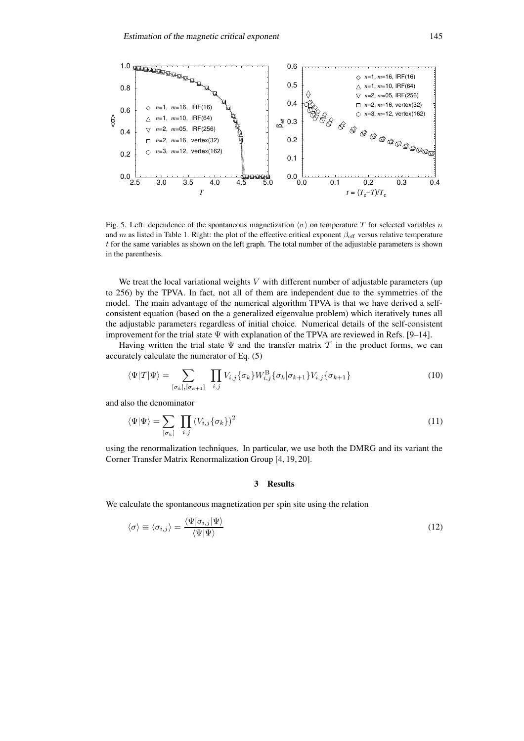

Fig. 5. Left: dependence of the spontaneous magnetization  $\langle \sigma \rangle$  on temperature T for selected variables n and m as listed in Table 1. Right: the plot of the effective critical exponent  $\beta_{\text{eff}}$  versus relative temperature t for the same variables as shown on the left graph. The total number of the adjustable parameters is shown in the parenthesis.

We treat the local variational weights  $V$  with different number of adjustable parameters (up to 256) by the TPVA. In fact, not all of them are independent due to the symmetries of the model. The main advantage of the numerical algorithm TPVA is that we have derived a selfconsistent equation (based on the a generalized eigenvalue problem) which iteratively tunes all the adjustable parameters regardless of initial choice. Numerical details of the self-consistent improvement for the trial state Ψ with explanation of the TPVA are reviewed in Refs. [9–14].

Having written the trial state  $\Psi$  and the transfer matrix  $T$  in the product forms, we can accurately calculate the numerator of Eq. (5)

$$
\langle \Psi | \mathcal{T} | \Psi \rangle = \sum_{[\sigma_k], [\sigma_{k+1}]} \prod_{i,j} V_{i,j} \{ \sigma_k \} W_{i,j}^{\mathrm{B}} \{ \sigma_k | \sigma_{k+1} \} V_{i,j} \{ \sigma_{k+1} \}
$$
(10)

and also the denominator

$$
\langle \Psi | \Psi \rangle = \sum_{\left[\sigma_k\right]} \prod_{i,j} \left(V_{i,j} \{\sigma_k\}\right)^2 \tag{11}
$$

using the renormalization techniques. In particular, we use both the DMRG and its variant the Corner Transfer Matrix Renormalization Group [4, 19, 20].

### **3 Results**

We calculate the spontaneous magnetization per spin site using the relation

$$
\langle \sigma \rangle \equiv \langle \sigma_{i,j} \rangle = \frac{\langle \Psi | \sigma_{i,j} | \Psi \rangle}{\langle \Psi | \Psi \rangle} \tag{12}
$$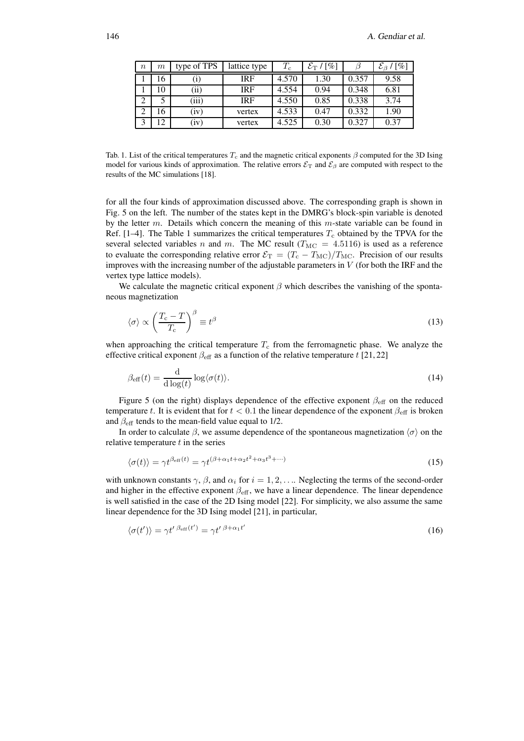| $\boldsymbol{n}$ | $m\,$       | type of TPS      | lattice type | $T_{\rm c}$ | $\mathcal{E}_{\rm T}$ / [%] |       | $\mathcal{E}_{\beta}$ / [%] |
|------------------|-------------|------------------|--------------|-------------|-----------------------------|-------|-----------------------------|
|                  | 16          | $\left(1\right)$ | IRF          | 4.570       | 1.30                        | 0.357 | 9.58                        |
|                  | 10          | (ii)             | <b>IRF</b>   | 4.554       | 0.94                        | 0.348 | 6.81                        |
|                  |             | (iii)            | <b>IRF</b>   | 4.550       | 0.85                        | 0.338 | 3.74                        |
|                  | 16          | (iv)             | vertex       | 4.533       | 0.47                        | 0.332 | 1.90                        |
|                  | $^{\circ}2$ | (iv)             | vertex       | 4.525       | 0.30                        | 0.327 | 0.37                        |

Tab. 1. List of the critical temperatures  $T_c$  and the magnetic critical exponents  $\beta$  computed for the 3D Ising model for various kinds of approximation. The relative errors  $\mathcal{E}_T$  and  $\mathcal{E}_\beta$  are computed with respect to the results of the MC simulations [18].

for all the four kinds of approximation discussed above. The corresponding graph is shown in Fig. 5 on the left. The number of the states kept in the DMRG's block-spin variable is denoted by the letter  $m$ . Details which concern the meaning of this  $m$ -state variable can be found in Ref. [1–4]. The Table 1 summarizes the critical temperatures  $T_c$  obtained by the TPVA for the several selected variables n and m. The MC result ( $T_{\text{MC}} = 4.5116$ ) is used as a reference to evaluate the corresponding relative error  $\mathcal{E}_{\rm T} = (T_{\rm c} - T_{\rm MC})/T_{\rm MC}$ . Precision of our results improves with the increasing number of the adjustable parameters in  $V$  (for both the IRF and the vertex type lattice models).

We calculate the magnetic critical exponent  $\beta$  which describes the vanishing of the spontaneous magnetization

$$
\langle \sigma \rangle \propto \left( \frac{T_{\rm c} - T}{T_{\rm c}} \right)^{\beta} \equiv t^{\beta} \tag{13}
$$

when approaching the critical temperature  $T_c$  from the ferromagnetic phase. We analyze the effective critical exponent  $\beta_{\text{eff}}$  as a function of the relative temperature t [21, 22]

$$
\beta_{\text{eff}}(t) = \frac{\mathrm{d}}{\mathrm{d}\log(t)} \log \langle \sigma(t) \rangle. \tag{14}
$$

Figure 5 (on the right) displays dependence of the effective exponent  $\beta_{\text{eff}}$  on the reduced temperature t. It is evident that for  $t < 0.1$  the linear dependence of the exponent  $\beta_{\text{eff}}$  is broken and  $\beta_{\text{eff}}$  tends to the mean-field value equal to 1/2.

In order to calculate  $\beta$ , we assume dependence of the spontaneous magnetization  $\langle \sigma \rangle$  on the relative temperature  $t$  in the series

$$
\langle \sigma(t) \rangle = \gamma t^{\beta_{\rm eff}(t)} = \gamma t^{(\beta + \alpha_1 t + \alpha_2 t^2 + \alpha_3 t^3 + \cdots)} \tag{15}
$$

with unknown constants  $\gamma$ ,  $\beta$ , and  $\alpha_i$  for  $i = 1, 2, \ldots$ . Neglecting the terms of the second-order and higher in the effective exponent  $\beta_{\text{eff}}$ , we have a linear dependence. The linear dependence is well satisfied in the case of the 2D Ising model [22]. For simplicity, we also assume the same linear dependence for the 3D Ising model [21], in particular,

$$
\langle \sigma(t') \rangle = \gamma t' \, \beta_{\text{eff}}(t') = \gamma t' \, \beta + \alpha_1 t' \tag{16}
$$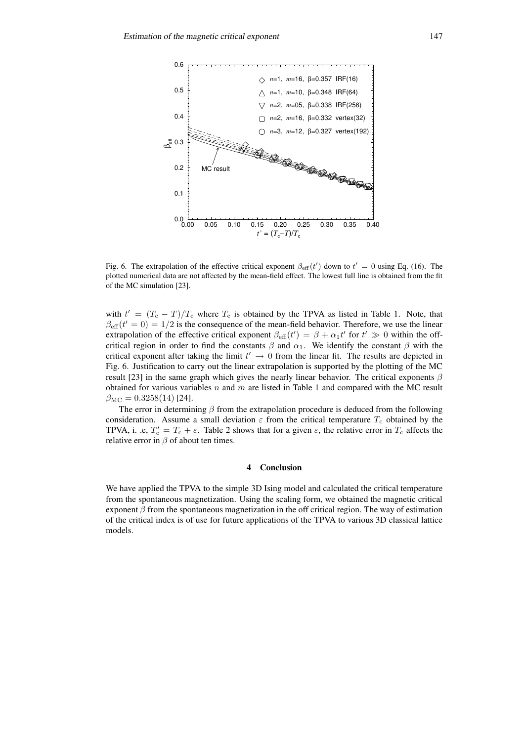

Fig. 6. The extrapolation of the effective critical exponent  $\beta_{\text{eff}}(t')$  down to  $t' = 0$  using Eq. (16). The plotted numerical data are not affected by the mean-field effect. The lowest full line is obtained from the fit of the MC simulation [23].

with  $t' = (T_c - T)/T_c$  where  $T_c$  is obtained by the TPVA as listed in Table 1. Note, that  $\beta_{\text{eff}}(t'=0) = 1/2$  is the consequence of the mean-field behavior. Therefore, we use the linear extrapolation of the effective critical exponent  $\beta_{\text{eff}}(t') = \beta + \alpha_1 t'$  for  $t' \gg 0$  within the offcritical region in order to find the constants  $\beta$  and  $\alpha_1$ . We identify the constant  $\beta$  with the critical exponent after taking the limit  $t' \rightarrow 0$  from the linear fit. The results are depicted in Fig. 6. Justification to carry out the linear extrapolation is supported by the plotting of the MC result [23] in the same graph which gives the nearly linear behavior. The critical exponents  $\beta$ obtained for various variables  $n$  and  $m$  are listed in Table 1 and compared with the MC result  $\beta_{\rm MC} = 0.3258(14)$  [24].

The error in determining  $\beta$  from the extrapolation procedure is deduced from the following consideration. Assume a small deviation  $\varepsilon$  from the critical temperature  $T_c$  obtained by the TPVA, i. .e,  $T_c' = T_c + \varepsilon$ . Table 2 shows that for a given  $\varepsilon$ , the relative error in  $T_c$  affects the relative error in  $\beta$  of about ten times.

## **4 Conclusion**

We have applied the TPVA to the simple 3D Ising model and calculated the critical temperature from the spontaneous magnetization. Using the scaling form, we obtained the magnetic critical exponent  $\beta$  from the spontaneous magnetization in the off critical region. The way of estimation of the critical index is of use for future applications of the TPVA to various 3D classical lattice models.